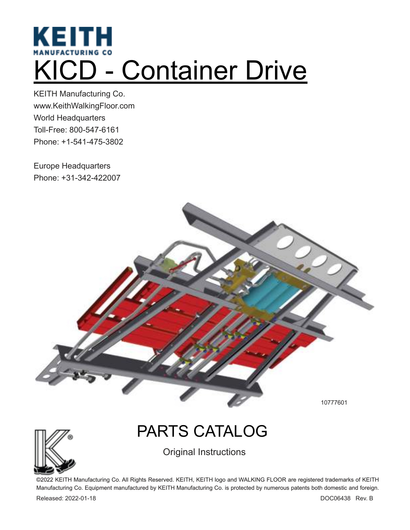# **KEITH** KICD - Container Drive

KEITH Manufacturing Co. www.KeithWalkingFloor.com World Headquarters Toll-Free: 800-547-6161 Phone: +1-541-475-3802

Europe Headquarters Phone: +31-342-422007



10777601

# PARTS CATALOG

Original Instructions

©2022 KEITH Manufacturing Co. All Rights Reserved. KEITH, KEITH logo and WALKING FLOOR are registered trademarks of KEITH Manufacturing Co. Equipment manufactured by KEITH Manufacturing Co. is protected by numerous patents both domestic and foreign.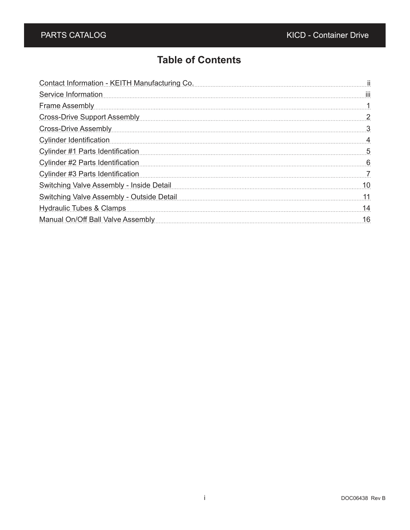### **Table of Contents**

| Contact Information - KEITH Manufacturing Co.                                                                                                                                                                                       |    |
|-------------------------------------------------------------------------------------------------------------------------------------------------------------------------------------------------------------------------------------|----|
| Service Information                                                                                                                                                                                                                 | Ш  |
| <u>Frame Assembly [1996]</u> [1996] [1996] [1996] [1996] [1996] [1996] [1996] [1996] [1996] [1996] [1996] [1996] [1996] [1996] [1996] [1996] [1996] [1996] [1996] [1996] [1996] [1996] [1996] [1996] [1996] [1996] [1996] [1996] [1 |    |
| Cross-Drive Support Assembly <b>Executive Support Assembly</b>                                                                                                                                                                      | 2  |
| Cross-Drive Assembly <b>Executes</b> Assembly and the Assemble Assemble Assemble Assemble Assemble Assemble Assemble                                                                                                                | -3 |
| <b>Cylinder Identification</b>                                                                                                                                                                                                      | 4  |
| Cylinder #1 Parts Identification                                                                                                                                                                                                    | 5  |
| Cylinder #2 Parts Identification                                                                                                                                                                                                    | -6 |
| Cylinder #3 Parts Identification                                                                                                                                                                                                    | -7 |
| Switching Valve Assembly - Inside Detail                                                                                                                                                                                            | 10 |
| Switching Valve Assembly - Outside Detail                                                                                                                                                                                           | 11 |
| Hydraulic Tubes & Clamps [11] March 2014 March 2014 March 2014 March 2014 March 2014 March 2015 March 2014 March 2015                                                                                                               | 14 |
| Manual On/Off Ball Valve Assembly Manual Communication of the Manual On/Off Ball Valve Assembly                                                                                                                                     | 16 |
|                                                                                                                                                                                                                                     |    |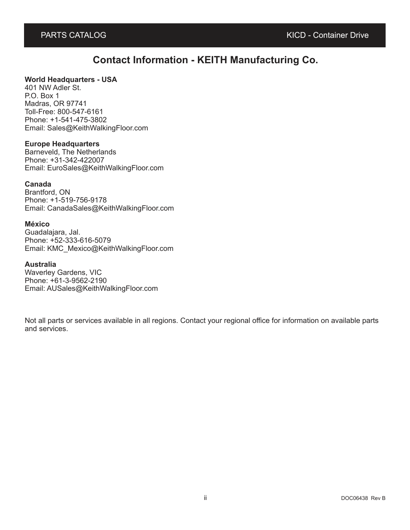#### **Contact Information - KEITH Manufacturing Co.**

#### **World Headquarters - USA**

401 NW Adler St. P.O. Box 1 Madras, OR 97741 Toll-Free: 800-547-6161 Phone: +1-541-475-3802 Email: Sales@KeithWalkingFloor.com

#### **Europe Headquarters**

Barneveld, The Netherlands Phone: +31-342-422007 Email: EuroSales@KeithWalkingFloor.com

#### **Canada**

Brantford, ON Phone: +1-519-756-9178 Email: CanadaSales@KeithWalkingFloor.com

#### **México**

Guadalajara, Jal. Phone: +52-333-616-5079 Email: KMC\_Mexico@KeithWalkingFloor.com

#### **Australia**

Waverley Gardens, VIC Phone: +61-3-9562-2190 Email: AUSales@KeithWalkingFloor.com

Not all parts or services available in all regions. Contact your regional office for information on available parts and services.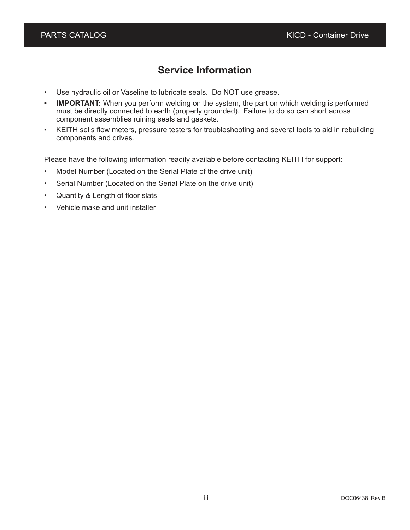#### **Service Information**

- Use hydraulic oil or Vaseline to lubricate seals. Do NOT use grease.
- **IMPORTANT:** When you perform welding on the system, the part on which welding is performed must be directly connected to earth (properly grounded). Failure to do so can short across component assemblies ruining seals and gaskets.
- KEITH sells flow meters, pressure testers for troubleshooting and several tools to aid in rebuilding components and drives.

Please have the following information readily available before contacting KEITH for support:

- Model Number (Located on the Serial Plate of the drive unit)
- Serial Number (Located on the Serial Plate on the drive unit)
- Quantity & Length of floor slats
- Vehicle make and unit installer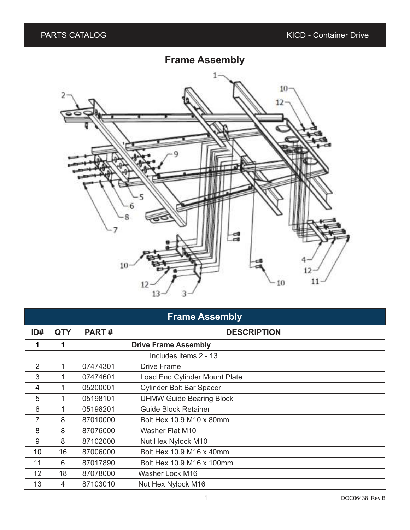# **Frame Assembly**



# **Frame Assembly**

| ID#            | <b>QTY</b> | <b>PART#</b> | <b>DESCRIPTION</b>                   |
|----------------|------------|--------------|--------------------------------------|
| 1              | 1          |              | <b>Drive Frame Assembly</b>          |
|                |            |              | Includes items 2 - 13                |
| $\overline{2}$ | 1          | 07474301     | <b>Drive Frame</b>                   |
| 3              |            | 07474601     | <b>Load End Cylinder Mount Plate</b> |
| 4              |            | 05200001     | <b>Cylinder Bolt Bar Spacer</b>      |
| 5              |            | 05198101     | <b>UHMW Guide Bearing Block</b>      |
| 6              |            | 05198201     | <b>Guide Block Retainer</b>          |
| $\overline{7}$ | 8          | 87010000     | Bolt Hex 10.9 M10 x 80mm             |
| 8              | 8          | 87076000     | Washer Flat M10                      |
| 9              | 8          | 87102000     | Nut Hex Nylock M10                   |
| 10             | 16         | 87006000     | Bolt Hex 10.9 M16 x 40mm             |
| 11             | 6          | 87017890     | Bolt Hex 10.9 M16 x 100mm            |
| 12             | 18         | 87078000     | Washer Lock M16                      |
| 13             | 4          | 87103010     | Nut Hex Nylock M16                   |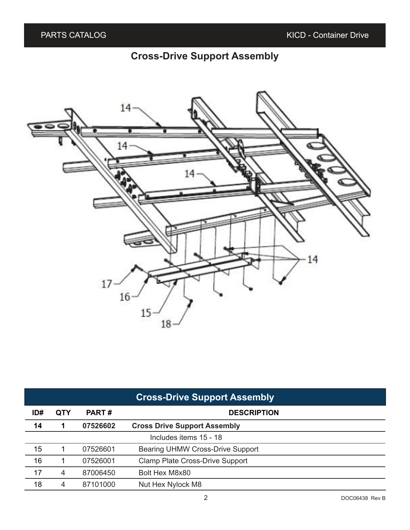# **Cross-Drive Support Assembly**



| <b>Cross-Drive Support Assembly</b> |            |              |                                        |  |
|-------------------------------------|------------|--------------|----------------------------------------|--|
| ID#                                 | <b>QTY</b> | <b>PART#</b> | <b>DESCRIPTION</b>                     |  |
| 14                                  |            | 07526602     | <b>Cross Drive Support Assembly</b>    |  |
|                                     |            |              | Includes items 15 - 18                 |  |
| 15                                  |            | 07526601     | Bearing UHMW Cross-Drive Support       |  |
| 16                                  |            | 07526001     | <b>Clamp Plate Cross-Drive Support</b> |  |
| 17                                  | 4          | 87006450     | Bolt Hex M8x80                         |  |
| 18                                  | 4          | 87101000     | Nut Hex Nylock M8                      |  |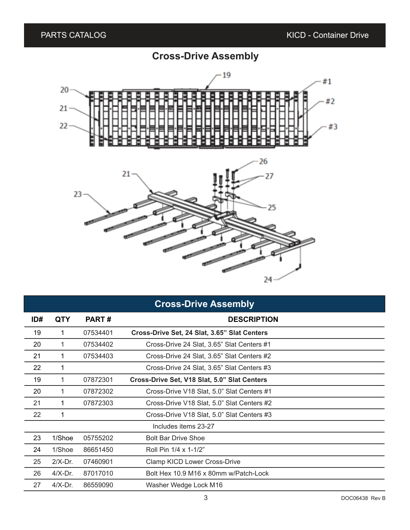# **Cross-Drive Assembly**



|     |            |          | <b>Cross-Drive Assembly</b>                  |
|-----|------------|----------|----------------------------------------------|
| ID# | QTY        | PART#    | <b>DESCRIPTION</b>                           |
| 19  | 1.         | 07534401 | Cross-Drive Set, 24 Slat, 3.65" Slat Centers |
| 20  | 1.         | 07534402 | Cross-Drive 24 Slat, 3.65" Slat Centers #1   |
| 21  | 1          | 07534403 | Cross-Drive 24 Slat, 3.65" Slat Centers #2   |
| 22  | 1          |          | Cross-Drive 24 Slat, 3.65" Slat Centers #3   |
| 19  | 1          | 07872301 | Cross-Drive Set, V18 Slat, 5.0" Slat Centers |
| 20  | 1.         | 07872302 | Cross-Drive V18 Slat, 5.0" Slat Centers #1   |
| 21  | 1          | 07872303 | Cross-Drive V18 Slat, 5.0" Slat Centers #2   |
| 22  | 1          |          | Cross-Drive V18 Slat, 5.0" Slat Centers #3   |
|     |            |          | Includes items 23-27                         |
| 23  | 1/Shoe     | 05755202 | <b>Bolt Bar Drive Shoe</b>                   |
| 24  | 1/Shoe     | 86651450 | Roll Pin 1/4 x 1-1/2"                        |
| 25  | $2/X$ -Dr. | 07460901 | Clamp KICD Lower Cross-Drive                 |
| 26  | $4/X-Dr.$  | 87017010 | Bolt Hex 10.9 M16 x 80mm w/Patch-Lock        |
| 27  | $4/X-Dr.$  | 86559090 | Washer Wedge Lock M16                        |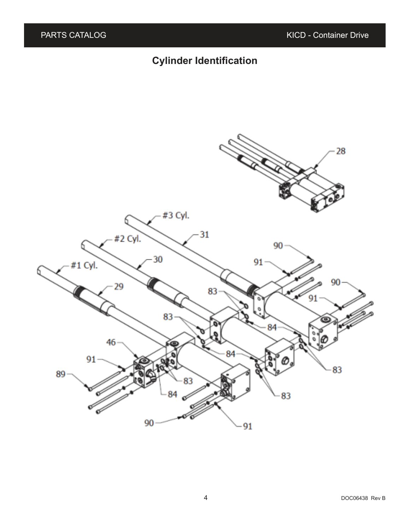# **Cylinder Identification**

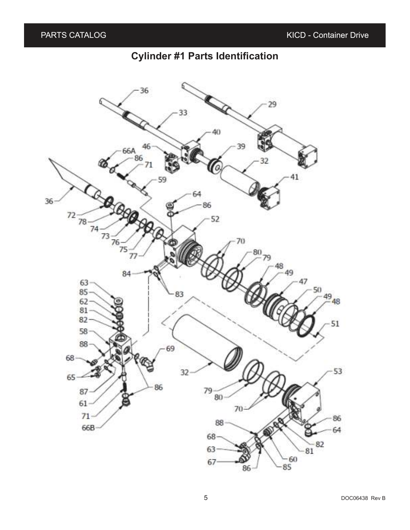#### **Cylinder #1 Parts Identification**

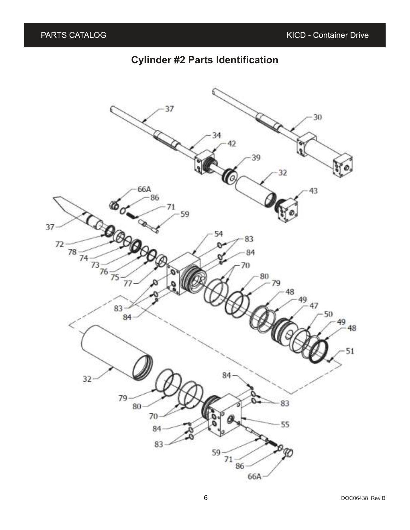#### **Cylinder #2 Parts Identification**

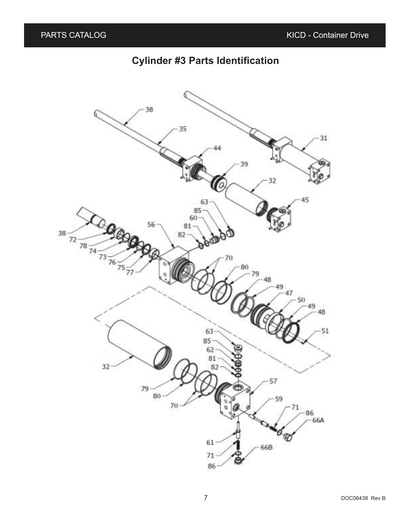### **Cylinder #3 Parts Identification**

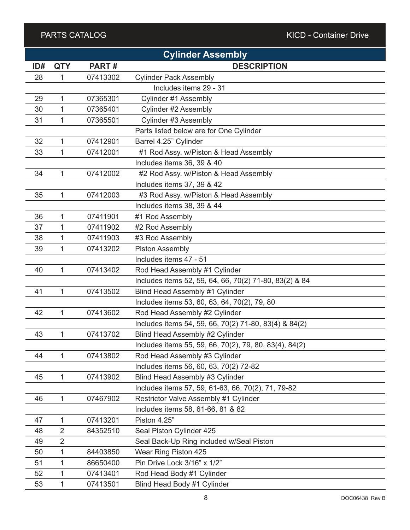#### PARTS CATALOG ARTS CATALOG ARTS CATALOG ARTS CATALOG ARTS CATALOG ARTS CONTAINER ARTS CONTAINING ARTS CONTAINING

|     |                |          | <b>Cylinder Assembly</b>                               |
|-----|----------------|----------|--------------------------------------------------------|
| ID# | <b>QTY</b>     | PART#    | <b>DESCRIPTION</b>                                     |
| 28  | 1              | 07413302 | <b>Cylinder Pack Assembly</b>                          |
|     |                |          | Includes items 29 - 31                                 |
| 29  | 1              | 07365301 | Cylinder #1 Assembly                                   |
| 30  | $\mathbf{1}$   | 07365401 | Cylinder #2 Assembly                                   |
| 31  | 1              | 07365501 | Cylinder #3 Assembly                                   |
|     |                |          | Parts listed below are for One Cylinder                |
| 32  | $\mathbf{1}$   | 07412901 | Barrel 4.25" Cylinder                                  |
| 33  | $\mathbf{1}$   | 07412001 | #1 Rod Assy. w/Piston & Head Assembly                  |
|     |                |          | Includes items 36, 39 & 40                             |
| 34  | $\mathbf{1}$   | 07412002 | #2 Rod Assy. w/Piston & Head Assembly                  |
|     |                |          | Includes items 37, 39 & 42                             |
| 35  | $\mathbf{1}$   | 07412003 | #3 Rod Assy. w/Piston & Head Assembly                  |
|     |                |          | Includes items 38, 39 & 44                             |
| 36  | $\mathbf{1}$   | 07411901 | #1 Rod Assembly                                        |
| 37  | 1              | 07411902 | #2 Rod Assembly                                        |
| 38  | 1              | 07411903 | #3 Rod Assembly                                        |
| 39  | 1              | 07413202 | <b>Piston Assembly</b>                                 |
|     |                |          | Includes items 47 - 51                                 |
| 40  | $\mathbf{1}$   | 07413402 | Rod Head Assembly #1 Cylinder                          |
|     |                |          | Includes items 52, 59, 64, 66, 70(2) 71-80, 83(2) & 84 |
| 41  | $\mathbf{1}$   | 07413502 | Blind Head Assembly #1 Cylinder                        |
|     |                |          | Includes items 53, 60, 63, 64, 70(2), 79, 80           |
| 42  | 1              | 07413602 | Rod Head Assembly #2 Cylinder                          |
|     |                |          | Includes items 54, 59, 66, 70(2) 71-80, 83(4) & 84(2)  |
| 43  | 1              | 07413702 | Blind Head Assembly #2 Cylinder                        |
|     |                |          | Includes items 55, 59, 66, 70(2), 79, 80, 83(4), 84(2) |
| 44  | 1              | 07413802 | Rod Head Assembly #3 Cylinder                          |
|     |                |          | Includes items 56, 60, 63, 70(2) 72-82                 |
| 45  | $\mathbf{1}$   | 07413902 | Blind Head Assembly #3 Cylinder                        |
|     |                |          | Includes items 57, 59, 61-63, 66, 70(2), 71, 79-82     |
| 46  | 1              | 07467902 | Restrictor Valve Assembly #1 Cylinder                  |
|     |                |          | Includes items 58, 61-66, 81 & 82                      |
| 47  | $\mathbf{1}$   | 07413201 | Piston 4.25"                                           |
| 48  | $\overline{2}$ | 84352510 | Seal Piston Cylinder 425                               |
| 49  | $\overline{2}$ |          | Seal Back-Up Ring included w/Seal Piston               |
| 50  | 1              | 84403850 | Wear Ring Piston 425                                   |
| 51  | 1              | 86650400 | Pin Drive Lock 3/16" x 1/2"                            |
| 52  | $\mathbf{1}$   | 07413401 | Rod Head Body #1 Cylinder                              |
| 53  | 1              | 07413501 | Blind Head Body #1 Cylinder                            |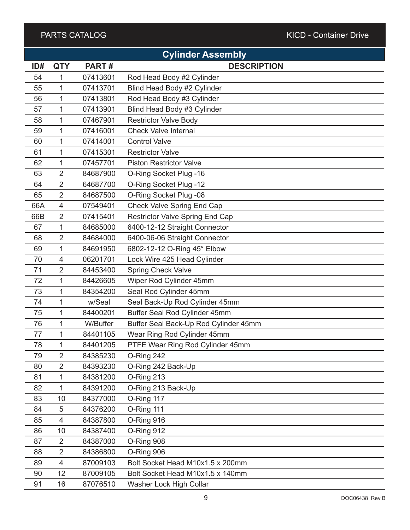#### PARTS CATALOG ARTS CATALOG ARTS CATALOG ARTS CATALOG ARTS CATALOG ARTS CONTAINER ARTS CONTAINING ARTS CONTAINING

|     |                |          | <b>Cylinder Assembly</b>               |
|-----|----------------|----------|----------------------------------------|
| ID# | <b>QTY</b>     | PART#    | <b>DESCRIPTION</b>                     |
| 54  | 1              | 07413601 | Rod Head Body #2 Cylinder              |
| 55  | 1              | 07413701 | Blind Head Body #2 Cylinder            |
| 56  | 1              | 07413801 | Rod Head Body #3 Cylinder              |
| 57  | 1              | 07413901 | Blind Head Body #3 Cylinder            |
| 58  | 1              | 07467901 | <b>Restrictor Valve Body</b>           |
| 59  | 1              | 07416001 | <b>Check Valve Internal</b>            |
| 60  | 1              | 07414001 | <b>Control Valve</b>                   |
| 61  | 1              | 07415301 | <b>Restrictor Valve</b>                |
| 62  | 1              | 07457701 | <b>Piston Restrictor Valve</b>         |
| 63  | $\overline{2}$ | 84687900 | O-Ring Socket Plug -16                 |
| 64  | 2              | 64687700 | O-Ring Socket Plug -12                 |
| 65  | $\overline{2}$ | 84687500 | O-Ring Socket Plug -08                 |
| 66A | 4              | 07549401 | <b>Check Valve Spring End Cap</b>      |
| 66B | $\overline{2}$ | 07415401 | <b>Restrictor Valve Spring End Cap</b> |
| 67  | 1              | 84685000 | 6400-12-12 Straight Connector          |
| 68  | $\overline{2}$ | 84684000 | 6400-06-06 Straight Connector          |
| 69  | 1              | 84691950 | 6802-12-12 O-Ring 45° Elbow            |
| 70  | 4              | 06201701 | Lock Wire 425 Head Cylinder            |
| 71  | 2              | 84453400 | <b>Spring Check Valve</b>              |
| 72  | 1              | 84426605 | Wiper Rod Cylinder 45mm                |
| 73  | 1              | 84354200 | Seal Rod Cylinder 45mm                 |
| 74  | 1              | w/Seal   | Seal Back-Up Rod Cylinder 45mm         |
| 75  | 1              | 84400201 | Buffer Seal Rod Cylinder 45mm          |
| 76  | 1              | W/Buffer | Buffer Seal Back-Up Rod Cylinder 45mm  |
| 77  | 1              | 84401105 | Wear Ring Rod Cylinder 45mm            |
| 78  | 1              | 84401205 | PTFE Wear Ring Rod Cylinder 45mm       |
| 79  | $\overline{2}$ | 84385230 | O-Ring 242                             |
| 80  | $\overline{2}$ | 84393230 | O-Ring 242 Back-Up                     |
| 81  | 1              | 84381200 | O-Ring 213                             |
| 82  | 1              | 84391200 | O-Ring 213 Back-Up                     |
| 83  | 10             | 84377000 | O-Ring 117                             |
| 84  | 5              | 84376200 | O-Ring 111                             |
| 85  | 4              | 84387800 | O-Ring 916                             |
| 86  | 10             | 84387400 | O-Ring 912                             |
| 87  | $\overline{2}$ | 84387000 | O-Ring 908                             |
| 88  | $\overline{2}$ | 84386800 | O-Ring 906                             |
| 89  | $\overline{4}$ | 87009103 | Bolt Socket Head M10x1.5 x 200mm       |
| 90  | 12             | 87009105 | Bolt Socket Head M10x1.5 x 140mm       |
| 91  | 16             | 87076510 | Washer Lock High Collar                |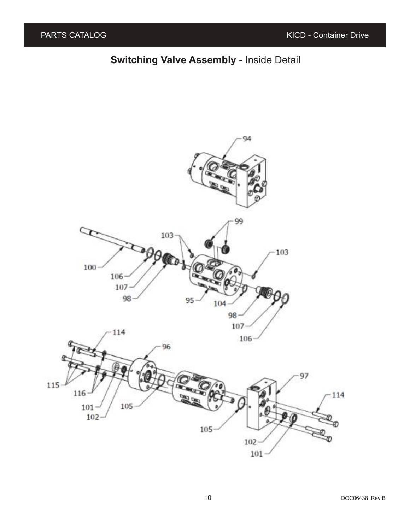#### **Switching Valve Assembly** - Inside Detail

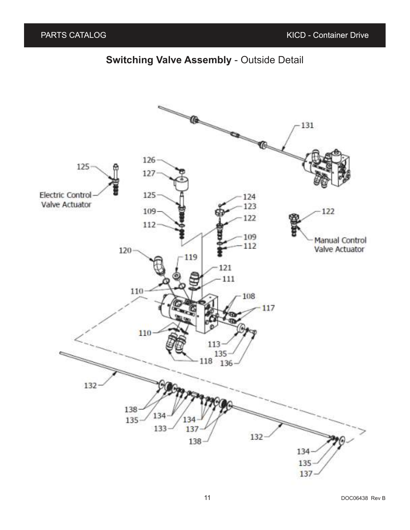#### **Switching Valve Assembly** - Outside Detail

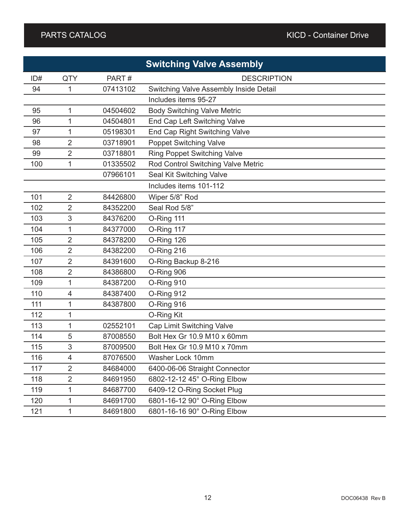|     |                |          | <b>Switching Valve Assembly</b>        |
|-----|----------------|----------|----------------------------------------|
| ID# | <b>QTY</b>     | PART#    | <b>DESCRIPTION</b>                     |
| 94  | 1              | 07413102 | Switching Valve Assembly Inside Detail |
|     |                |          | Includes items 95-27                   |
| 95  | 1              | 04504602 | <b>Body Switching Valve Metric</b>     |
| 96  | 1              | 04504801 | End Cap Left Switching Valve           |
| 97  | 1              | 05198301 | End Cap Right Switching Valve          |
| 98  | 2              | 03718901 | <b>Poppet Switching Valve</b>          |
| 99  | $\overline{2}$ | 03718801 | <b>Ring Poppet Switching Valve</b>     |
| 100 | 1              | 01335502 | Rod Control Switching Valve Metric     |
|     |                | 07966101 | Seal Kit Switching Valve               |
|     |                |          | Includes items 101-112                 |
| 101 | $\overline{2}$ | 84426800 | Wiper 5/8" Rod                         |
| 102 | 2              | 84352200 | Seal Rod 5/8"                          |
| 103 | 3              | 84376200 | O-Ring 111                             |
| 104 | 1              | 84377000 | O-Ring 117                             |
| 105 | $\overline{2}$ | 84378200 | O-Ring 126                             |
| 106 | $\overline{2}$ | 84382200 | O-Ring 216                             |
| 107 | $\overline{2}$ | 84391600 | O-Ring Backup 8-216                    |
| 108 | 2              | 84386800 | O-Ring 906                             |
| 109 | 1              | 84387200 | O-Ring 910                             |
| 110 | 4              | 84387400 | O-Ring 912                             |
| 111 | 1              | 84387800 | O-Ring 916                             |
| 112 | 1              |          | O-Ring Kit                             |
| 113 | 1              | 02552101 | Cap Limit Switching Valve              |
| 114 | 5              | 87008550 | Bolt Hex Gr 10.9 M10 x 60mm            |
| 115 | 3              | 87009500 | Bolt Hex Gr 10.9 M10 x 70mm            |
| 116 | 4              | 87076500 | Washer Lock 10mm                       |
| 117 | $\overline{2}$ | 84684000 | 6400-06-06 Straight Connector          |
| 118 | $\overline{2}$ | 84691950 | 6802-12-12 45° O-Ring Elbow            |
| 119 | 1              | 84687700 | 6409-12 O-Ring Socket Plug             |
| 120 | 1              | 84691700 | 6801-16-12 90° O-Ring Elbow            |
| 121 | 1              | 84691800 | 6801-16-16 90° O-Ring Elbow            |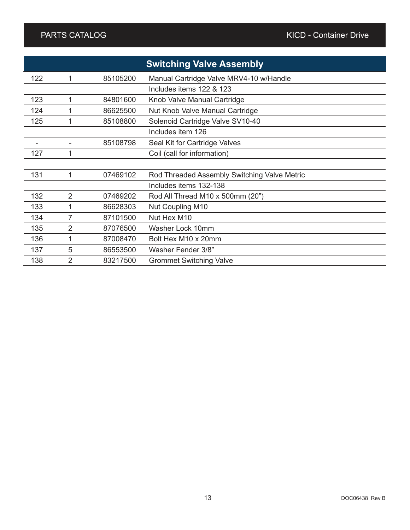|     |                |          | <b>Switching Valve Assembly</b>              |
|-----|----------------|----------|----------------------------------------------|
| 122 |                | 85105200 | Manual Cartridge Valve MRV4-10 w/Handle      |
|     |                |          | Includes items 122 & 123                     |
| 123 | 1              | 84801600 | Knob Valve Manual Cartridge                  |
| 124 |                | 86625500 | Nut Knob Valve Manual Cartridge              |
| 125 | 1              | 85108800 | Solenoid Cartridge Valve SV10-40             |
|     |                |          | Includes item 126                            |
|     |                | 85108798 | Seal Kit for Cartridge Valves                |
| 127 | 1              |          | Coil (call for information)                  |
|     |                |          |                                              |
| 131 | 1              | 07469102 | Rod Threaded Assembly Switching Valve Metric |
|     |                |          | Includes items 132-138                       |
| 132 | 2              | 07469202 | Rod All Thread M10 x 500mm (20")             |
| 133 | 1              | 86628303 | <b>Nut Coupling M10</b>                      |
| 134 | 7              | 87101500 | Nut Hex M10                                  |
| 135 | 2              | 87076500 | Washer Lock 10mm                             |
| 136 | 1              | 87008470 | Bolt Hex M10 x 20mm                          |
| 137 | 5              | 86553500 | Washer Fender 3/8"                           |
| 138 | $\overline{2}$ | 83217500 | <b>Grommet Switching Valve</b>               |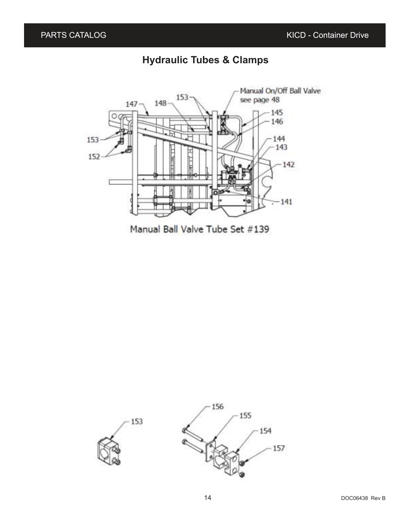#### **Hydraulic Tubes & Clamps**



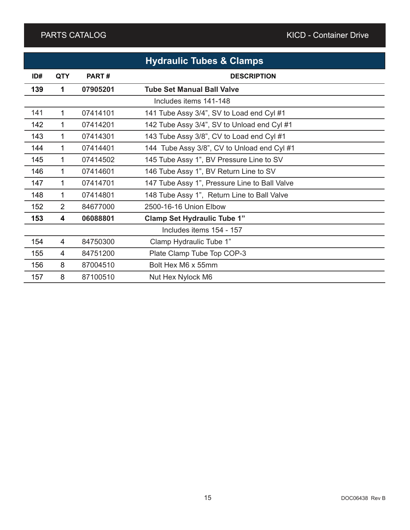|     |                |          | <b>Hydraulic Tubes &amp; Clamps</b>           |
|-----|----------------|----------|-----------------------------------------------|
| ID# | <b>QTY</b>     | PART#    | <b>DESCRIPTION</b>                            |
| 139 | 1              | 07905201 | <b>Tube Set Manual Ball Valve</b>             |
|     |                |          | Includes items 141-148                        |
| 141 | 1              | 07414101 | 141 Tube Assy 3/4", SV to Load end Cyl #1     |
| 142 | 1              | 07414201 | 142 Tube Assy 3/4", SV to Unload end Cyl #1   |
| 143 | 1              | 07414301 | 143 Tube Assy 3/8", CV to Load end Cyl #1     |
| 144 | 1              | 07414401 | 144 Tube Assy 3/8", CV to Unload end Cyl #1   |
| 145 | 1              | 07414502 | 145 Tube Assy 1", BV Pressure Line to SV      |
| 146 | 1              | 07414601 | 146 Tube Assy 1", BV Return Line to SV        |
| 147 | 1.             | 07414701 | 147 Tube Assy 1", Pressure Line to Ball Valve |
| 148 | 1              | 07414801 | 148 Tube Assy 1", Return Line to Ball Valve   |
| 152 | $\overline{2}$ | 84677000 | 2500-16-16 Union Elbow                        |
| 153 | 4              | 06088801 | <b>Clamp Set Hydraulic Tube 1"</b>            |
|     |                |          | Includes items 154 - 157                      |
| 154 | 4              | 84750300 | Clamp Hydraulic Tube 1"                       |
| 155 | 4              | 84751200 | Plate Clamp Tube Top COP-3                    |
| 156 | 8              | 87004510 | Bolt Hex M6 x 55mm                            |
| 157 | 8              | 87100510 | Nut Hex Nylock M6                             |